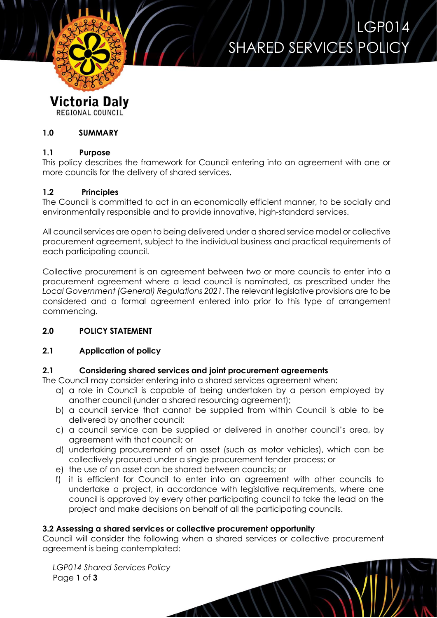

# LGP014 SHARED SERVICES POLICY

#### **Victoria Daly** REGIONAL COUNCIL

#### **1.0 SUMMARY**

#### **1.1 Purpose**

This policy describes the framework for Council entering into an agreement with one or more councils for the delivery of shared services.

# **1.2 Principles**

The Council is committed to act in an economically efficient manner, to be socially and environmentally responsible and to provide innovative, high-standard services.

All council services are open to being delivered under a shared service model or collective procurement agreement, subject to the individual business and practical requirements of each participating council.

Collective procurement is an agreement between two or more councils to enter into a procurement agreement where a lead council is nominated, as prescribed under the *Local Government (General) Regulations 2021*. The relevant legislative provisions are to be considered and a formal agreement entered into prior to this type of arrangement commencing.

# **2.0 POLICY STATEMENT**

# **2.1 Application of policy**

# **2.1 Considering shared services and joint procurement agreements**

The Council may consider entering into a shared services agreement when:

- a) a role in Council is capable of being undertaken by a person employed by another council (under a shared resourcing agreement);
- b) a council service that cannot be supplied from within Council is able to be delivered by another council;
- c) a council service can be supplied or delivered in another council's area, by agreement with that council; or
- d) undertaking procurement of an asset (such as motor vehicles), which can be collectively procured under a single procurement tender process; or
- e) the use of an asset can be shared between councils; or
- f) it is efficient for Council to enter into an agreement with other councils to undertake a project, in accordance with legislative requirements, where one council is approved by every other participating council to take the lead on the project and make decisions on behalf of all the participating councils.

#### **3.2 Assessing a shared services or collective procurement opportunity**

Council will consider the following when a shared services or collective procurement agreement is being contemplated:

*LGP014 Shared Services Policy* Page **1** of **3**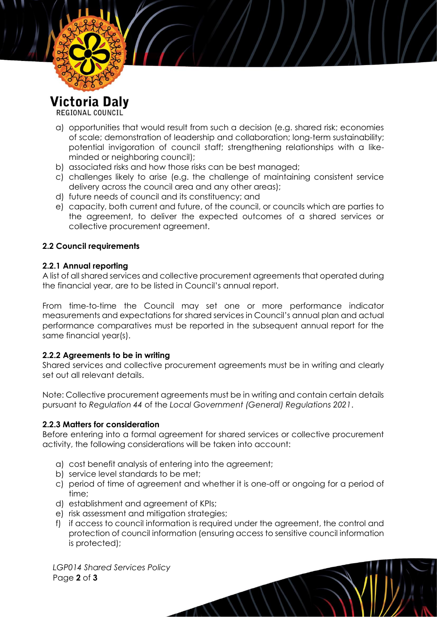

REGIONAL COUNCIL

- a) opportunities that would result from such a decision (e.g. shared risk; economies of scale; demonstration of leadership and collaboration; long-term sustainability; potential invigoration of council staff; strengthening relationships with a likeminded or neighboring council);
- b) associated risks and how those risks can be best managed;
- c) challenges likely to arise (e.g. the challenge of maintaining consistent service delivery across the council area and any other areas);
- d) future needs of council and its constituency; and
- e) capacity, both current and future, of the council, or councils which are parties to the agreement, to deliver the expected outcomes of a shared services or collective procurement agreement.

# **2.2 Council requirements**

#### **2.2.1 Annual reporting**

A list of all shared services and collective procurement agreements that operated during the financial year, are to be listed in Council's annual report.

From time-to-time the Council may set one or more performance indicator measurements and expectations for shared services in Council's annual plan and actual performance comparatives must be reported in the subsequent annual report for the same financial year(s).

# **2.2.2 Agreements to be in writing**

Shared services and collective procurement agreements must be in writing and clearly set out all relevant details.

Note: Collective procurement agreements must be in writing and contain certain details pursuant to *Regulation 44* of the *Local Government (General) Regulations 2021*.

# **2.2.3 Matters for consideration**

Before entering into a formal agreement for shared services or collective procurement activity, the following considerations will be taken into account:

- a) cost benefit analysis of entering into the agreement;
- b) service level standards to be met;
- c) period of time of agreement and whether it is one-off or ongoing for a period of time;
- d) establishment and agreement of KPIs;
- e) risk assessment and mitigation strategies;
- f) if access to council information is required under the agreement, the control and protection of council information (ensuring access to sensitive council information is protected);

*LGP014 Shared Services Policy* Page **2** of **3**